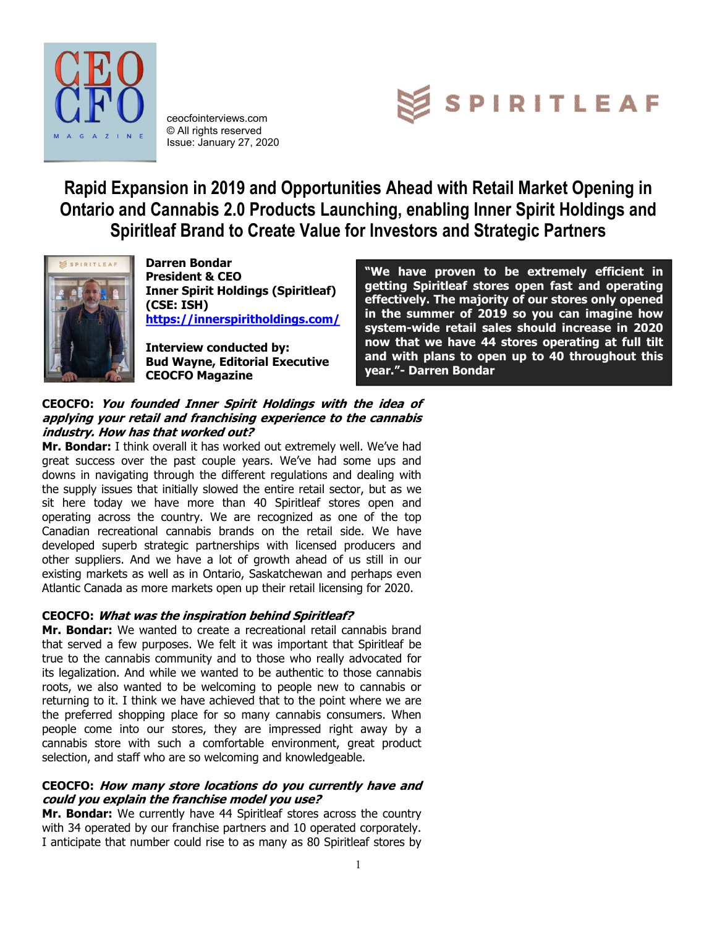

ceocfointerviews.com © All rights reserved Issue: January 27, 2020



**Rapid Expansion in 2019 and Opportunities Ahead with Retail Market Opening in Ontario and Cannabis 2.0 Products Launching, enabling Inner Spirit Holdings and Spiritleaf Brand to Create Value for Investors and Strategic Partners**



**Darren Bondar President & CEO Inner Spirit Holdings (Spiritleaf) (CSE: ISH) <https://innerspiritholdings.com/>**

**Interview conducted by: Bud Wayne, Editorial Executive CEOCFO Magazine**

**"We have proven to be extremely efficient in getting Spiritleaf stores open fast and operating effectively. The majority of our stores only opened in the summer of 2019 so you can imagine how system-wide retail sales should increase in 2020 now that we have 44 stores operating at full tilt and with plans to open up to 40 throughout this year."- Darren Bondar**

## **CEOCFO: You founded Inner Spirit Holdings with the idea of applying your retail and franchising experience to the cannabis industry. How has that worked out?**

**Mr. Bondar:** I think overall it has worked out extremely well. We've had great success over the past couple years. We've had some ups and downs in navigating through the different regulations and dealing with the supply issues that initially slowed the entire retail sector, but as we sit here today we have more than 40 Spiritleaf stores open and operating across the country. We are recognized as one of the top Canadian recreational cannabis brands on the retail side. We have developed superb strategic partnerships with licensed producers and other suppliers. And we have a lot of growth ahead of us still in our existing markets as well as in Ontario, Saskatchewan and perhaps even Atlantic Canada as more markets open up their retail licensing for 2020.

# **CEOCFO: What was the inspiration behind Spiritleaf?**

**Mr. Bondar:** We wanted to create a recreational retail cannabis brand that served a few purposes. We felt it was important that Spiritleaf be true to the cannabis community and to those who really advocated for its legalization. And while we wanted to be authentic to those cannabis roots, we also wanted to be welcoming to people new to cannabis or returning to it. I think we have achieved that to the point where we are the preferred shopping place for so many cannabis consumers. When people come into our stores, they are impressed right away by a cannabis store with such a comfortable environment, great product selection, and staff who are so welcoming and knowledgeable.

## **CEOCFO: How many store locations do you currently have and could you explain the franchise model you use?**

**Mr. Bondar:** We currently have 44 Spiritleaf stores across the country with 34 operated by our franchise partners and 10 operated corporately. I anticipate that number could rise to as many as 80 Spiritleaf stores by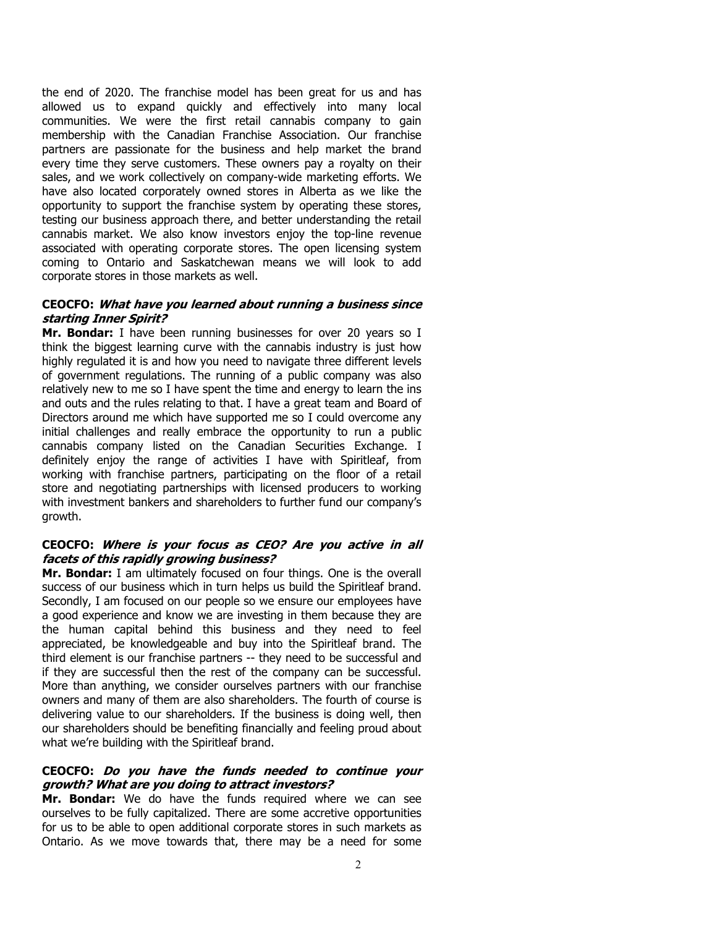the end of 2020. The franchise model has been great for us and has allowed us to expand quickly and effectively into many local communities. We were the first retail cannabis company to gain membership with the Canadian Franchise Association. Our franchise partners are passionate for the business and help market the brand every time they serve customers. These owners pay a royalty on their sales, and we work collectively on company-wide marketing efforts. We have also located corporately owned stores in Alberta as we like the opportunity to support the franchise system by operating these stores, testing our business approach there, and better understanding the retail cannabis market. We also know investors enjoy the top-line revenue associated with operating corporate stores. The open licensing system coming to Ontario and Saskatchewan means we will look to add corporate stores in those markets as well.

#### **CEOCFO: What have you learned about running a business since starting Inner Spirit?**

**Mr. Bondar:** I have been running businesses for over 20 years so I think the biggest learning curve with the cannabis industry is just how highly regulated it is and how you need to navigate three different levels of government regulations. The running of a public company was also relatively new to me so I have spent the time and energy to learn the ins and outs and the rules relating to that. I have a great team and Board of Directors around me which have supported me so I could overcome any initial challenges and really embrace the opportunity to run a public cannabis company listed on the Canadian Securities Exchange. I definitely enjoy the range of activities I have with Spiritleaf, from working with franchise partners, participating on the floor of a retail store and negotiating partnerships with licensed producers to working with investment bankers and shareholders to further fund our company's growth.

#### **CEOCFO: Where is your focus as CEO? Are you active in all facets of this rapidly growing business?**

**Mr. Bondar:** I am ultimately focused on four things. One is the overall success of our business which in turn helps us build the Spiritleaf brand. Secondly, I am focused on our people so we ensure our employees have a good experience and know we are investing in them because they are the human capital behind this business and they need to feel appreciated, be knowledgeable and buy into the Spiritleaf brand. The third element is our franchise partners -- they need to be successful and if they are successful then the rest of the company can be successful. More than anything, we consider ourselves partners with our franchise owners and many of them are also shareholders. The fourth of course is delivering value to our shareholders. If the business is doing well, then our shareholders should be benefiting financially and feeling proud about what we're building with the Spiritleaf brand.

#### **CEOCFO: Do you have the funds needed to continue your growth? What are you doing to attract investors?**

**Mr. Bondar:** We do have the funds required where we can see ourselves to be fully capitalized. There are some accretive opportunities for us to be able to open additional corporate stores in such markets as Ontario. As we move towards that, there may be a need for some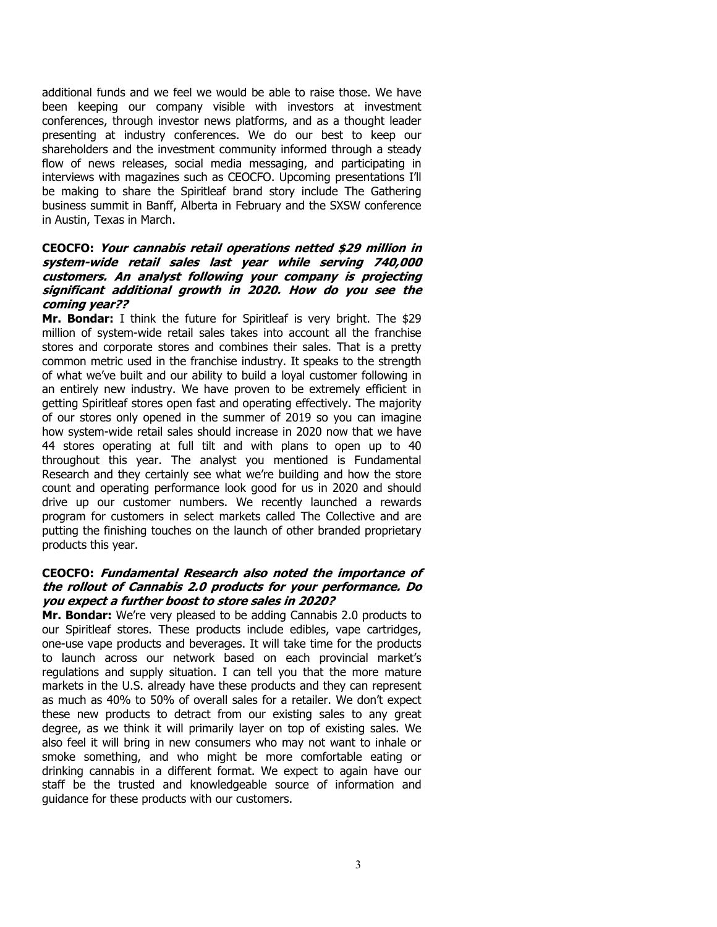additional funds and we feel we would be able to raise those. We have been keeping our company visible with investors at investment conferences, through investor news platforms, and as a thought leader presenting at industry conferences. We do our best to keep our shareholders and the investment community informed through a steady flow of news releases, social media messaging, and participating in interviews with magazines such as CEOCFO. Upcoming presentations I'll be making to share the Spiritleaf brand story include The Gathering business summit in Banff, Alberta in February and the SXSW conference in Austin, Texas in March.

### **CEOCFO: Your cannabis retail operations netted \$29 million in system-wide retail sales last year while serving 740,000 customers. An analyst following your company is projecting significant additional growth in 2020. How do you see the coming year??**

**Mr. Bondar:** I think the future for Spiritleaf is very bright. The \$29 million of system-wide retail sales takes into account all the franchise stores and corporate stores and combines their sales. That is a pretty common metric used in the franchise industry. It speaks to the strength of what we've built and our ability to build a loyal customer following in an entirely new industry. We have proven to be extremely efficient in getting Spiritleaf stores open fast and operating effectively. The majority of our stores only opened in the summer of 2019 so you can imagine how system-wide retail sales should increase in 2020 now that we have 44 stores operating at full tilt and with plans to open up to 40 throughout this year. The analyst you mentioned is Fundamental Research and they certainly see what we're building and how the store count and operating performance look good for us in 2020 and should drive up our customer numbers. We recently launched a rewards program for customers in select markets called The Collective and are putting the finishing touches on the launch of other branded proprietary products this year.

#### **CEOCFO: Fundamental Research also noted the importance of the rollout of Cannabis 2.0 products for your performance. Do you expect a further boost to store sales in 2020?**

**Mr. Bondar:** We're very pleased to be adding Cannabis 2.0 products to our Spiritleaf stores. These products include edibles, vape cartridges, one-use vape products and beverages. It will take time for the products to launch across our network based on each provincial market's regulations and supply situation. I can tell you that the more mature markets in the U.S. already have these products and they can represent as much as 40% to 50% of overall sales for a retailer. We don't expect these new products to detract from our existing sales to any great degree, as we think it will primarily layer on top of existing sales. We also feel it will bring in new consumers who may not want to inhale or smoke something, and who might be more comfortable eating or drinking cannabis in a different format. We expect to again have our staff be the trusted and knowledgeable source of information and guidance for these products with our customers.